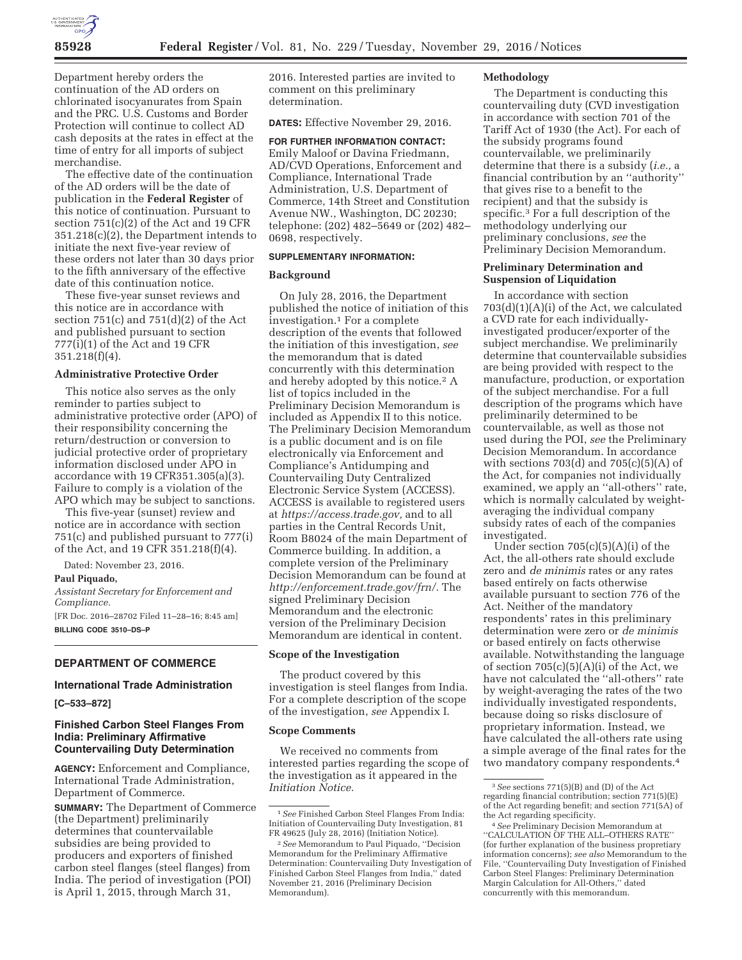

Department hereby orders the continuation of the AD orders on chlorinated isocyanurates from Spain and the PRC. U.S. Customs and Border Protection will continue to collect AD cash deposits at the rates in effect at the time of entry for all imports of subject merchandise.

The effective date of the continuation of the AD orders will be the date of publication in the **Federal Register** of this notice of continuation. Pursuant to section 751(c)(2) of the Act and 19 CFR 351.218(c)(2), the Department intends to initiate the next five-year review of these orders not later than 30 days prior to the fifth anniversary of the effective date of this continuation notice.

These five-year sunset reviews and this notice are in accordance with section  $751(c)$  and  $751(d)(2)$  of the Act and published pursuant to section 777(i)(1) of the Act and 19 CFR  $351.218(f)(4)$ .

#### **Administrative Protective Order**

This notice also serves as the only reminder to parties subject to administrative protective order (APO) of their responsibility concerning the return/destruction or conversion to judicial protective order of proprietary information disclosed under APO in accordance with 19 CFR351.305(a)(3). Failure to comply is a violation of the APO which may be subject to sanctions.

This five-year (sunset) review and notice are in accordance with section 751(c) and published pursuant to 777(i) of the Act, and 19 CFR 351.218(f)(4).

Dated: November 23, 2016.

# **Paul Piquado,**

*Assistant Secretary for Enforcement and Compliance.* 

[FR Doc. 2016–28702 Filed 11–28–16; 8:45 am] **BILLING CODE 3510–DS–P** 

## **DEPARTMENT OF COMMERCE**

# **International Trade Administration**

**[C–533–872]** 

# **Finished Carbon Steel Flanges From India: Preliminary Affirmative Countervailing Duty Determination**

**AGENCY:** Enforcement and Compliance, International Trade Administration, Department of Commerce.

**SUMMARY:** The Department of Commerce (the Department) preliminarily determines that countervailable subsidies are being provided to producers and exporters of finished carbon steel flanges (steel flanges) from India. The period of investigation (POI) is April 1, 2015, through March 31,

2016. Interested parties are invited to comment on this preliminary determination.

**DATES:** Effective November 29, 2016.

# **FOR FURTHER INFORMATION CONTACT:**

Emily Maloof or Davina Friedmann, AD/CVD Operations, Enforcement and Compliance, International Trade Administration, U.S. Department of Commerce, 14th Street and Constitution Avenue NW., Washington, DC 20230; telephone: (202) 482–5649 or (202) 482– 0698, respectively.

## **SUPPLEMENTARY INFORMATION:**

## **Background**

On July 28, 2016, the Department published the notice of initiation of this investigation.1 For a complete description of the events that followed the initiation of this investigation, *see*  the memorandum that is dated concurrently with this determination and hereby adopted by this notice.<sup>2</sup> A list of topics included in the Preliminary Decision Memorandum is included as Appendix II to this notice. The Preliminary Decision Memorandum is a public document and is on file electronically via Enforcement and Compliance's Antidumping and Countervailing Duty Centralized Electronic Service System (ACCESS). ACCESS is available to registered users at *https://access.trade.gov,* and to all parties in the Central Records Unit, Room B8024 of the main Department of Commerce building. In addition, a complete version of the Preliminary Decision Memorandum can be found at *http://enforcement.trade.gov/frn/.* The signed Preliminary Decision Memorandum and the electronic version of the Preliminary Decision Memorandum are identical in content.

#### **Scope of the Investigation**

The product covered by this investigation is steel flanges from India. For a complete description of the scope of the investigation, *see* Appendix I.

### **Scope Comments**

We received no comments from interested parties regarding the scope of the investigation as it appeared in the *Initiation Notice.* 

## **Methodology**

The Department is conducting this countervailing duty (CVD investigation in accordance with section 701 of the Tariff Act of 1930 (the Act). For each of the subsidy programs found countervailable, we preliminarily determine that there is a subsidy (*i.e.,* a financial contribution by an ''authority'' that gives rise to a benefit to the recipient) and that the subsidy is specific.3 For a full description of the methodology underlying our preliminary conclusions, *see* the Preliminary Decision Memorandum.

## **Preliminary Determination and Suspension of Liquidation**

In accordance with section 703(d)(1)(A)(i) of the Act, we calculated a CVD rate for each individuallyinvestigated producer/exporter of the subject merchandise. We preliminarily determine that countervailable subsidies are being provided with respect to the manufacture, production, or exportation of the subject merchandise. For a full description of the programs which have preliminarily determined to be countervailable, as well as those not used during the POI, *see* the Preliminary Decision Memorandum. In accordance with sections  $703(d)$  and  $705(c)(5)(A)$  of the Act, for companies not individually examined, we apply an ''all-others'' rate, which is normally calculated by weightaveraging the individual company subsidy rates of each of the companies investigated.

Under section  $705(c)(5)(A)(i)$  of the Act, the all-others rate should exclude zero and *de minimis* rates or any rates based entirely on facts otherwise available pursuant to section 776 of the Act. Neither of the mandatory respondents' rates in this preliminary determination were zero or *de minimis*  or based entirely on facts otherwise available. Notwithstanding the language of section  $705(c)(5)(A)(i)$  of the Act, we have not calculated the ''all-others'' rate by weight-averaging the rates of the two individually investigated respondents, because doing so risks disclosure of proprietary information. Instead, we have calculated the all-others rate using a simple average of the final rates for the two mandatory company respondents.4

<sup>1</sup>*See* Finished Carbon Steel Flanges From India: Initiation of Countervailing Duty Investigation, 81 FR 49625 (July 28, 2016) (Initiation Notice).

<sup>2</sup>*See* Memorandum to Paul Piquado, ''Decision Memorandum for the Preliminary Affirmative Determination: Countervailing Duty Investigation of Finished Carbon Steel Flanges from India,'' dated November 21, 2016 (Preliminary Decision Memorandum).

<sup>3</sup>*See* sections 771(5)(B) and (D) of the Act regarding financial contribution; section 771(5)(E) of the Act regarding benefit; and section 771(5A) of

<sup>&</sup>lt;sup>4</sup> See Preliminary Decision Memorandum at ''CALCULATION OF THE ALL–OTHERS RATE'' (for further explanation of the business propretiary information concerns); *see also* Memorandum to the File, ''Countervailing Duty Investigation of Finished Carbon Steel Flanges: Preliminary Determination Margin Calculation for All-Others,'' dated concurrently with this memorandum.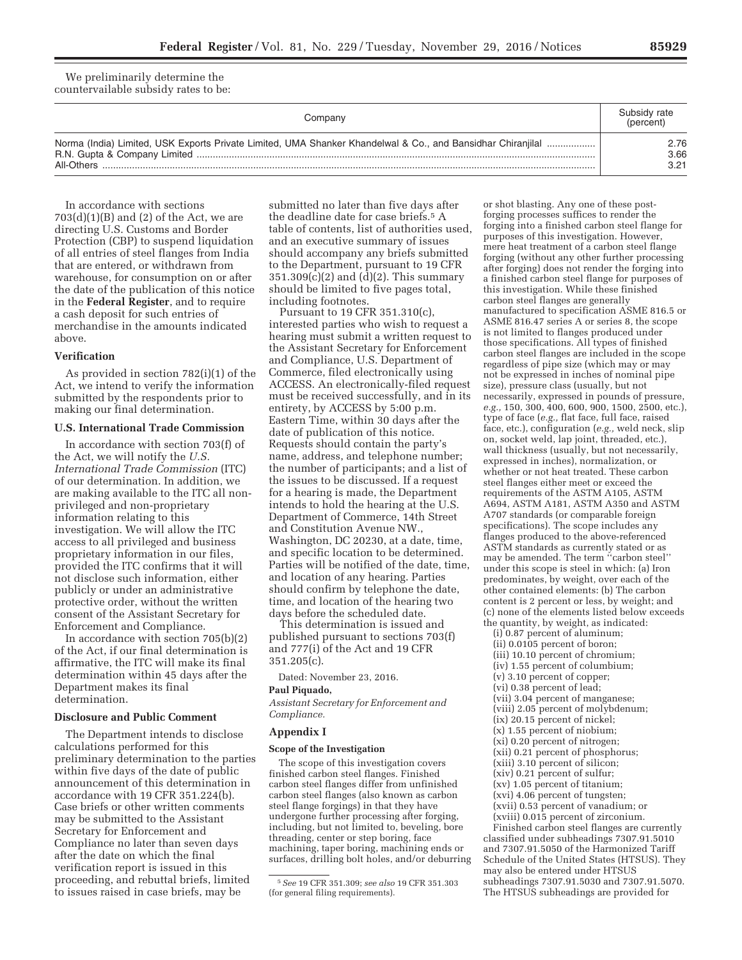We preliminarily determine the countervailable subsidy rates to be:

| Companv                                                                                                                   | Subsidy rate<br>(percent) |
|---------------------------------------------------------------------------------------------------------------------------|---------------------------|
| Norma (India) Limited, USK Exports Private Limited, UMA Shanker Khandelwal & Co., and Bansidhar Chiranjilal<br>All-Others | 2.76<br>3.66<br>3.21      |

In accordance with sections  $703(d)(1)(B)$  and  $(2)$  of the Act, we are directing U.S. Customs and Border Protection (CBP) to suspend liquidation of all entries of steel flanges from India that are entered, or withdrawn from warehouse, for consumption on or after the date of the publication of this notice in the **Federal Register**, and to require a cash deposit for such entries of merchandise in the amounts indicated above.

## **Verification**

As provided in section 782(i)(1) of the Act, we intend to verify the information submitted by the respondents prior to making our final determination.

## **U.S. International Trade Commission**

In accordance with section 703(f) of the Act, we will notify the *U.S. International Trade Commission* (ITC) of our determination. In addition, we are making available to the ITC all nonprivileged and non-proprietary information relating to this investigation. We will allow the ITC access to all privileged and business proprietary information in our files, provided the ITC confirms that it will not disclose such information, either publicly or under an administrative protective order, without the written consent of the Assistant Secretary for Enforcement and Compliance.

In accordance with section 705(b)(2) of the Act, if our final determination is affirmative, the ITC will make its final determination within 45 days after the Department makes its final determination.

### **Disclosure and Public Comment**

The Department intends to disclose calculations performed for this preliminary determination to the parties within five days of the date of public announcement of this determination in accordance with 19 CFR 351.224(b). Case briefs or other written comments may be submitted to the Assistant Secretary for Enforcement and Compliance no later than seven days after the date on which the final verification report is issued in this proceeding, and rebuttal briefs, limited to issues raised in case briefs, may be

submitted no later than five days after the deadline date for case briefs.5 A table of contents, list of authorities used, and an executive summary of issues should accompany any briefs submitted to the Department, pursuant to 19 CFR  $351.309(c)(2)$  and  $(d)(2)$ . This summary should be limited to five pages total, including footnotes.

Pursuant to 19 CFR 351.310(c), interested parties who wish to request a hearing must submit a written request to the Assistant Secretary for Enforcement and Compliance, U.S. Department of Commerce, filed electronically using ACCESS. An electronically-filed request must be received successfully, and in its entirety, by ACCESS by 5:00 p.m. Eastern Time, within 30 days after the date of publication of this notice. Requests should contain the party's name, address, and telephone number; the number of participants; and a list of the issues to be discussed. If a request for a hearing is made, the Department intends to hold the hearing at the U.S. Department of Commerce, 14th Street and Constitution Avenue NW., Washington, DC 20230, at a date, time, and specific location to be determined. Parties will be notified of the date, time, and location of any hearing. Parties should confirm by telephone the date, time, and location of the hearing two days before the scheduled date.

This determination is issued and published pursuant to sections 703(f) and 777(i) of the Act and 19 CFR 351.205(c).

Dated: November 23, 2016.

## **Paul Piquado,**

*Assistant Secretary for Enforcement and Compliance.* 

# **Appendix I**

#### **Scope of the Investigation**

The scope of this investigation covers finished carbon steel flanges. Finished carbon steel flanges differ from unfinished carbon steel flanges (also known as carbon steel flange forgings) in that they have undergone further processing after forging, including, but not limited to, beveling, bore threading, center or step boring, face machining, taper boring, machining ends or surfaces, drilling bolt holes, and/or deburring

or shot blasting. Any one of these postforging processes suffices to render the forging into a finished carbon steel flange for purposes of this investigation. However, mere heat treatment of a carbon steel flange forging (without any other further processing after forging) does not render the forging into a finished carbon steel flange for purposes of this investigation. While these finished carbon steel flanges are generally manufactured to specification ASME 816.5 or ASME 816.47 series A or series 8, the scope is not limited to flanges produced under those specifications. All types of finished carbon steel flanges are included in the scope regardless of pipe size (which may or may not be expressed in inches of nominal pipe size), pressure class (usually, but not necessarily, expressed in pounds of pressure, *e.g.,* 150, 300, 400, 600, 900, 1500, 2500, etc.), type of face (*e.g.,* flat face, full face, raised face, etc.), configuration (*e.g.,* weld neck, slip on, socket weld, lap joint, threaded, etc.), wall thickness (usually, but not necessarily, expressed in inches), normalization, or whether or not heat treated. These carbon steel flanges either meet or exceed the requirements of the ASTM A105, ASTM A694, ASTM A181, ASTM A350 and ASTM A707 standards (or comparable foreign specifications). The scope includes any flanges produced to the above-referenced ASTM standards as currently stated or as may be amended. The term ''carbon steel'' under this scope is steel in which: (a) Iron predominates, by weight, over each of the other contained elements: (b) The carbon content is 2 percent or less, by weight; and (c) none of the elements listed below exceeds the quantity, by weight, as indicated:

(i) 0.87 percent of aluminum; (ii) 0.0105 percent of boron; (iii) 10.10 percent of chromium; (iv) 1.55 percent of columbium; (v) 3.10 percent of copper; (vi) 0.38 percent of lead; (vii) 3.04 percent of manganese; (viii) 2.05 percent of molybdenum; (ix) 20.15 percent of nickel; (x) 1.55 percent of niobium; (xi) 0.20 percent of nitrogen; (xii) 0.21 percent of phosphorus; (xiii) 3.10 percent of silicon; (xiv) 0.21 percent of sulfur; (xv) 1.05 percent of titanium; (xvi) 4.06 percent of tungsten; (xvii) 0.53 percent of vanadium; or (xviii) 0.015 percent of zirconium. Finished carbon steel flanges are currently

classified under subheadings 7307.91.5010 and 7307.91.5050 of the Harmonized Tariff Schedule of the United States (HTSUS). They may also be entered under HTSUS subheadings 7307.91.5030 and 7307.91.5070. The HTSUS subheadings are provided for

<sup>5</sup>*See* 19 CFR 351.309; *see also* 19 CFR 351.303 (for general filing requirements).